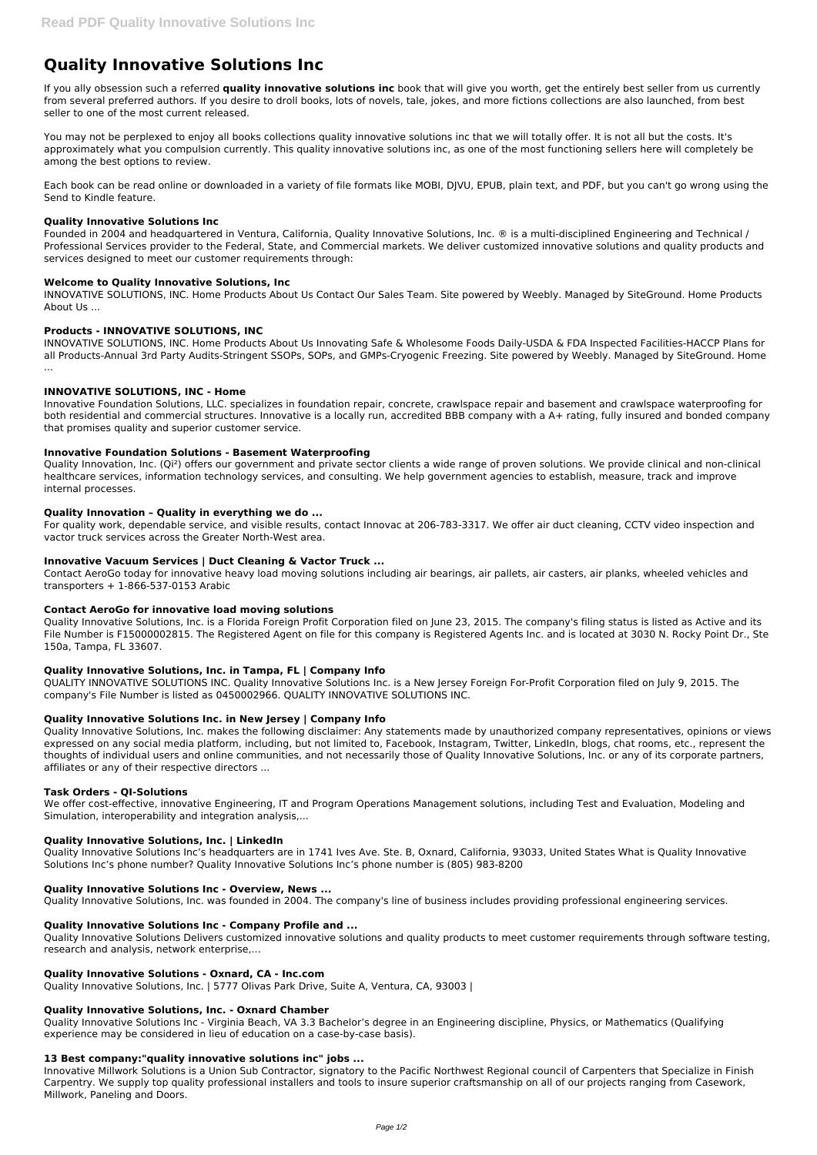# **Quality Innovative Solutions Inc**

If you ally obsession such a referred **quality innovative solutions inc** book that will give you worth, get the entirely best seller from us currently from several preferred authors. If you desire to droll books, lots of novels, tale, jokes, and more fictions collections are also launched, from best seller to one of the most current released.

You may not be perplexed to enjoy all books collections quality innovative solutions inc that we will totally offer. It is not all but the costs. It's approximately what you compulsion currently. This quality innovative solutions inc, as one of the most functioning sellers here will completely be among the best options to review.

Each book can be read online or downloaded in a variety of file formats like MOBI, DJVU, EPUB, plain text, and PDF, but you can't go wrong using the Send to Kindle feature.

## **Quality Innovative Solutions Inc**

Founded in 2004 and headquartered in Ventura, California, Quality Innovative Solutions, Inc. ® is a multi-disciplined Engineering and Technical / Professional Services provider to the Federal, State, and Commercial markets. We deliver customized innovative solutions and quality products and services designed to meet our customer requirements through:

# **Welcome to Quality Innovative Solutions, Inc**

INNOVATIVE SOLUTIONS, INC. Home Products About Us Contact Our Sales Team. Site powered by Weebly. Managed by SiteGround. Home Products About Us ...

# **Products - INNOVATIVE SOLUTIONS, INC**

INNOVATIVE SOLUTIONS, INC. Home Products About Us Innovating Safe & Wholesome Foods Daily-USDA & FDA Inspected Facilities-HACCP Plans for all Products-Annual 3rd Party Audits-Stringent SSOPs, SOPs, and GMPs-Cryogenic Freezing. Site powered by Weebly. Managed by SiteGround. Home ...

# **INNOVATIVE SOLUTIONS, INC - Home**

Innovative Foundation Solutions, LLC. specializes in foundation repair, concrete, crawlspace repair and basement and crawlspace waterproofing for both residential and commercial structures. Innovative is a locally run, accredited BBB company with a A+ rating, fully insured and bonded company that promises quality and superior customer service.

## **Innovative Foundation Solutions - Basement Waterproofing**

Quality Innovation, Inc. (Qi²) offers our government and private sector clients a wide range of proven solutions. We provide clinical and non-clinical healthcare services, information technology services, and consulting. We help government agencies to establish, measure, track and improve internal processes.

## **Quality Innovation – Quality in everything we do ...**

For quality work, dependable service, and visible results, contact Innovac at 206-783-3317. We offer air duct cleaning, CCTV video inspection and vactor truck services across the Greater North-West area.

## **Innovative Vacuum Services | Duct Cleaning & Vactor Truck ...**

Contact AeroGo today for innovative heavy load moving solutions including air bearings, air pallets, air casters, air planks, wheeled vehicles and transporters + 1-866-537-0153 Arabic

## **Contact AeroGo for innovative load moving solutions**

Quality Innovative Solutions, Inc. is a Florida Foreign Profit Corporation filed on June 23, 2015. The company's filing status is listed as Active and its File Number is F15000002815. The Registered Agent on file for this company is Registered Agents Inc. and is located at 3030 N. Rocky Point Dr., Ste 150a, Tampa, FL 33607.

## **Quality Innovative Solutions, Inc. in Tampa, FL | Company Info**

QUALITY INNOVATIVE SOLUTIONS INC. Quality Innovative Solutions Inc. is a New Jersey Foreign For-Profit Corporation filed on July 9, 2015. The company's File Number is listed as 0450002966. QUALITY INNOVATIVE SOLUTIONS INC.

# **Quality Innovative Solutions Inc. in New Jersey | Company Info**

Quality Innovative Solutions, Inc. makes the following disclaimer: Any statements made by unauthorized company representatives, opinions or views expressed on any social media platform, including, but not limited to, Facebook, Instagram, Twitter, LinkedIn, blogs, chat rooms, etc., represent the thoughts of individual users and online communities, and not necessarily those of Quality Innovative Solutions, Inc. or any of its corporate partners, affiliates or any of their respective directors ...

## **Task Orders - QI-Solutions**

We offer cost-effective, innovative Engineering, IT and Program Operations Management solutions, including Test and Evaluation, Modeling and Simulation, interoperability and integration analysis,...

## **Quality Innovative Solutions, Inc. | LinkedIn**

Quality Innovative Solutions Inc's headquarters are in 1741 Ives Ave. Ste. B, Oxnard, California, 93033, United States What is Quality Innovative Solutions Inc's phone number? Quality Innovative Solutions Inc's phone number is (805) 983-8200

#### **Quality Innovative Solutions Inc - Overview, News ...**

Quality Innovative Solutions, Inc. was founded in 2004. The company's line of business includes providing professional engineering services.

#### **Quality Innovative Solutions Inc - Company Profile and ...**

Quality Innovative Solutions Delivers customized innovative solutions and quality products to meet customer requirements through software testing, research and analysis, network enterprise,...

#### **Quality Innovative Solutions - Oxnard, CA - Inc.com**

Quality Innovative Solutions, Inc. | 5777 Olivas Park Drive, Suite A, Ventura, CA, 93003 |

#### **Quality Innovative Solutions, Inc. - Oxnard Chamber**

Quality Innovative Solutions Inc - Virginia Beach, VA 3.3 Bachelor's degree in an Engineering discipline, Physics, or Mathematics (Qualifying experience may be considered in lieu of education on a case-by-case basis).

#### **13 Best company:"quality innovative solutions inc" jobs ...**

Innovative Millwork Solutions is a Union Sub Contractor, signatory to the Pacific Northwest Regional council of Carpenters that Specialize in Finish Carpentry. We supply top quality professional installers and tools to insure superior craftsmanship on all of our projects ranging from Casework, Millwork, Paneling and Doors.